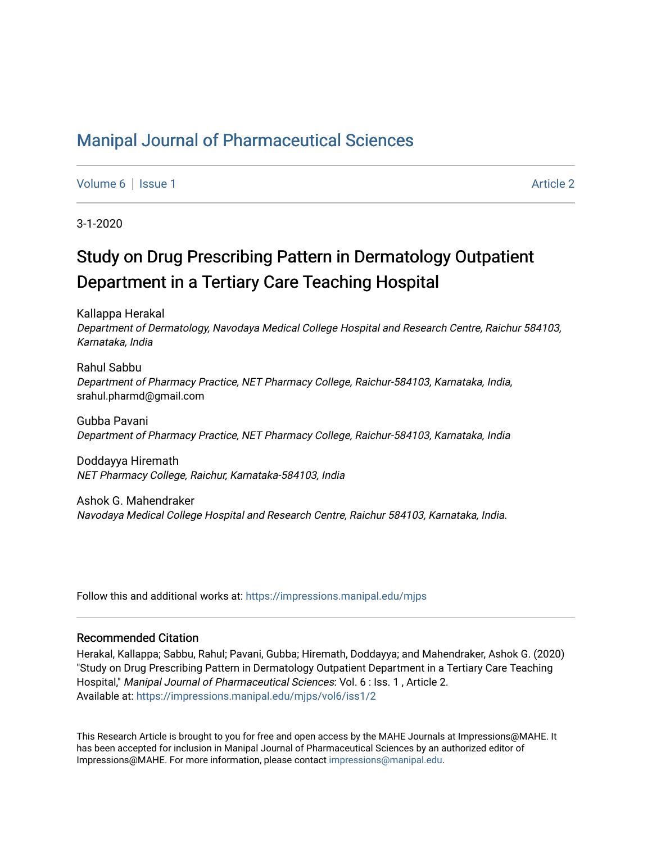# [Manipal Journal of Pharmaceutical Sciences](https://impressions.manipal.edu/mjps)

[Volume 6](https://impressions.manipal.edu/mjps/vol6) | [Issue 1](https://impressions.manipal.edu/mjps/vol6/iss1) Article 2

3-1-2020

# Study on Drug Prescribing Pattern in Dermatology Outpatient Department in a Tertiary Care Teaching Hospital

Kallappa Herakal Department of Dermatology, Navodaya Medical College Hospital and Research Centre, Raichur 584103, Karnataka, India

Rahul Sabbu Department of Pharmacy Practice, NET Pharmacy College, Raichur-584103, Karnataka, India, srahul.pharmd@gmail.com

Gubba Pavani Department of Pharmacy Practice, NET Pharmacy College, Raichur-584103, Karnataka, India

Doddayya Hiremath NET Pharmacy College, Raichur, Karnataka-584103, India

Ashok G. Mahendraker Navodaya Medical College Hospital and Research Centre, Raichur 584103, Karnataka, India.

Follow this and additional works at: [https://impressions.manipal.edu/mjps](https://impressions.manipal.edu/mjps?utm_source=impressions.manipal.edu%2Fmjps%2Fvol6%2Fiss1%2F2&utm_medium=PDF&utm_campaign=PDFCoverPages)

### Recommended Citation

Herakal, Kallappa; Sabbu, Rahul; Pavani, Gubba; Hiremath, Doddayya; and Mahendraker, Ashok G. (2020) "Study on Drug Prescribing Pattern in Dermatology Outpatient Department in a Tertiary Care Teaching Hospital," Manipal Journal of Pharmaceutical Sciences: Vol. 6 : Iss. 1 , Article 2. Available at: [https://impressions.manipal.edu/mjps/vol6/iss1/2](https://impressions.manipal.edu/mjps/vol6/iss1/2?utm_source=impressions.manipal.edu%2Fmjps%2Fvol6%2Fiss1%2F2&utm_medium=PDF&utm_campaign=PDFCoverPages)

This Research Article is brought to you for free and open access by the MAHE Journals at Impressions@MAHE. It has been accepted for inclusion in Manipal Journal of Pharmaceutical Sciences by an authorized editor of Impressions@MAHE. For more information, please contact [impressions@manipal.edu](mailto:impressions@manipal.edu).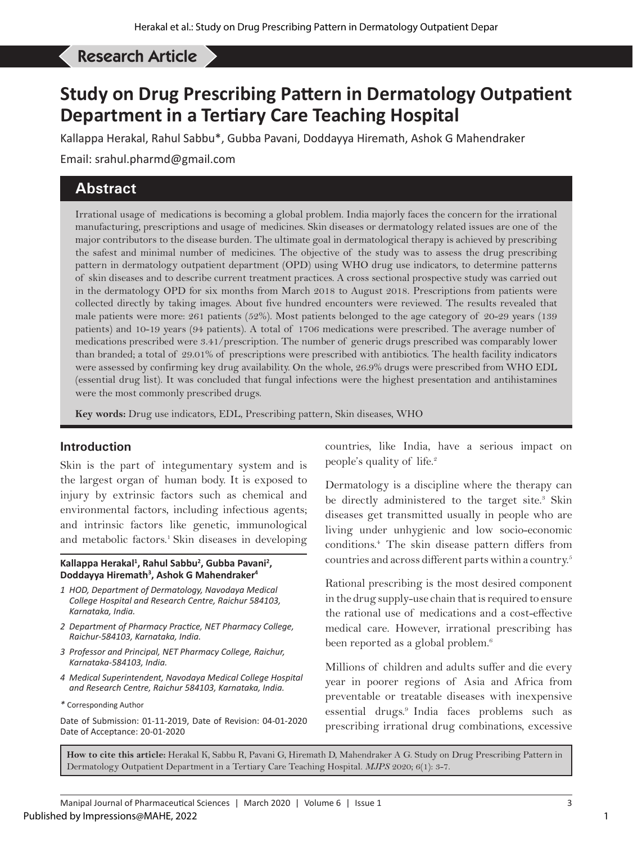#### Herakal K, *et al*: Drug Prescribing Pattern in Dermatology OPD Research Article

# **Study on Drug Prescribing Pattern in Dermatology Outpatient Department in a Tertiary Care Teaching Hospital**

Kallappa Herakal, Rahul Sabbu\*, Gubba Pavani, Doddayya Hiremath, Ashok G Mahendraker

Email: srahul.pharmd@gmail.com

# **Abstract**

Irrational usage of medications is becoming a global problem. India majorly faces the concern for the irrational manufacturing, prescriptions and usage of medicines. Skin diseases or dermatology related issues are one of the major contributors to the disease burden. The ultimate goal in dermatological therapy is achieved by prescribing the safest and minimal number of medicines. The objective of the study was to assess the drug prescribing pattern in dermatology outpatient department (OPD) using WHO drug use indicators, to determine patterns of skin diseases and to describe current treatment practices. A cross sectional prospective study was carried out in the dermatology OPD for six months from March 2018 to August 2018. Prescriptions from patients were collected directly by taking images. About five hundred encounters were reviewed. The results revealed that male patients were more: 261 patients (52%). Most patients belonged to the age category of 20-29 years (139 patients) and 10-19 years (94 patients). A total of 1706 medications were prescribed. The average number of medications prescribed were 3.41/prescription. The number of generic drugs prescribed was comparably lower than branded; a total of 29.01% of prescriptions were prescribed with antibiotics. The health facility indicators were assessed by confirming key drug availability. On the whole, 26.9% drugs were prescribed from WHO EDL (essential drug list). It was concluded that fungal infections were the highest presentation and antihistamines were the most commonly prescribed drugs.

**Key words:** Drug use indicators, EDL, Prescribing pattern, Skin diseases, WHO

## **Introduction**

Skin is the part of integumentary system and is the largest organ of human body. It is exposed to injury by extrinsic factors such as chemical and environmental factors, including infectious agents; and intrinsic factors like genetic, immunological and metabolic factors.<sup>1</sup> Skin diseases in developing

#### Kallappa Herakal<sup>1</sup>, Rahul Sabbu<sup>2</sup>, Gubba Pavani<sup>2</sup>, **Doddayya Hiremath3 , Ashok G Mahendraker4**

- *1 HOD, Department of Dermatology, Navodaya Medical College Hospital and Research Centre, Raichur 584103, Karnataka, India.*
- *2 Department of Pharmacy Practice, NET Pharmacy College, Raichur-584103, Karnataka, India.*
- *3 Professor and Principal, NET Pharmacy College, Raichur, Karnataka-584103, India.*
- *4 Medical Superintendent, Navodaya Medical College Hospital and Research Centre, Raichur 584103, Karnataka, India.*
- *\** Corresponding Author

Date of Submission: 01-11-2019, Date of Revision: 04-01-2020 Date of Acceptance: 20-01-2020

countries, like India, have a serious impact on people's quality of life.<sup>2</sup>

Dermatology is a discipline where the therapy can be directly administered to the target site.<sup>3</sup> Skin diseases get transmitted usually in people who are living under unhygienic and low socio-economic conditions.4 The skin disease pattern differs from countries and across different parts within a country.5

Rational prescribing is the most desired component in the drug supply-use chain that is required to ensure the rational use of medications and a cost-effective medical care. However, irrational prescribing has been reported as a global problem.<sup>6</sup>

Millions of children and adults suffer and die every year in poorer regions of Asia and Africa from preventable or treatable diseases with inexpensive essential drugs.9 India faces problems such as prescribing irrational drug combinations, excessive

**How to cite this article:** Herakal K, Sabbu R, Pavani G, Hiremath D, Mahendraker A G. Study on Drug Prescribing Pattern in Dermatology Outpatient Department in a Tertiary Care Teaching Hospital. *MJPS* 2020; 6(1): 3-7.

1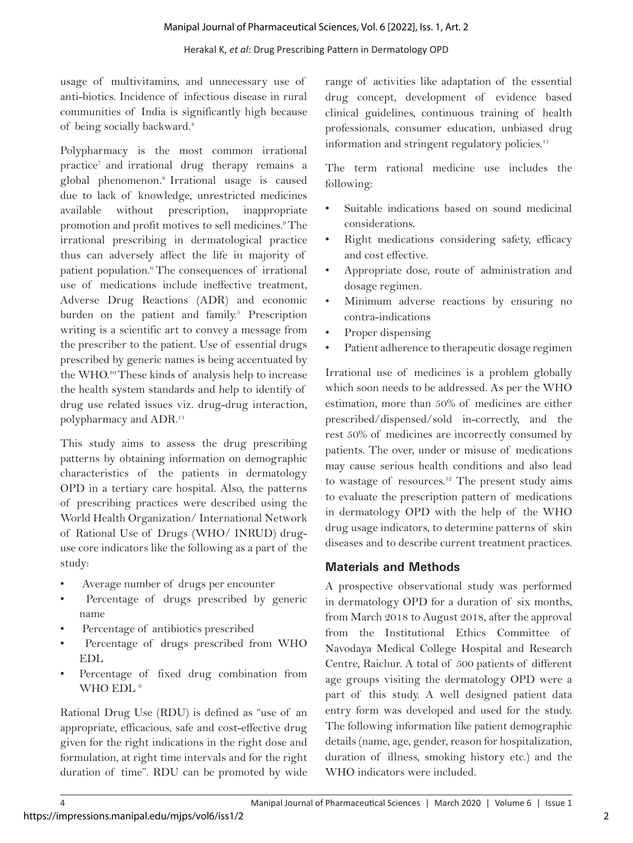#### Herakal K, *et al*: Drug Prescribing Pattern in Dermatology OPD

usage of multivitamins, and unnecessary use of anti-biotics. Incidence of infectious disease in rural communities of India is significantly high because of being socially backward.4

Polypharmacy is the most common irrational practice7 and irrational drug therapy remains a global phenomenon.8 Irrational usage is caused due to lack of knowledge, unrestricted medicines available without prescription, inappropriate promotion and profit motives to sell medicines.9 The irrational prescribing in dermatological practice thus can adversely affect the life in majority of patient population.<sup>6</sup> The consequences of irrational use of medications include ineffective treatment, Adverse Drug Reactions (ADR) and economic burden on the patient and family.<sup>5</sup> Prescription writing is a scientific art to convey a message from the prescriber to the patient. Use of essential drugs prescribed by generic names is being accentuated by the WHO.10 These kinds of analysis help to increase the health system standards and help to identify of drug use related issues viz. drug-drug interaction, polypharmacy and ADR.11

This study aims to assess the drug prescribing patterns by obtaining information on demographic characteristics of the patients in dermatology OPD in a tertiary care hospital. Also, the patterns of prescribing practices were described using the World Health Organization/ International Network of Rational Use of Drugs (WHO/ INRUD) druguse core indicators like the following as a part of the study:

- Average number of drugs per encounter
- Percentage of drugs prescribed by generic name
- Percentage of antibiotics prescribed
- Percentage of drugs prescribed from WHO EDL
- Percentage of fixed drug combination from WHO EDL<sup>9</sup>

Rational Drug Use (RDU) is defined as "use of an appropriate, efficacious, safe and cost-effective drug given for the right indications in the right dose and formulation, at right time intervals and for the right duration of time". RDU can be promoted by wide

range of activities like adaptation of the essential drug concept, development of evidence based clinical guidelines, continuous training of health professionals, consumer education, unbiased drug information and stringent regulatory policies.<sup>11</sup>

The term rational medicine use includes the following:

- Suitable indications based on sound medicinal considerations.
- Right medications considering safety, efficacy and cost effective.
- Appropriate dose, route of administration and dosage regimen.
- Minimum adverse reactions by ensuring no contra-indications
- Proper dispensing
- Patient adherence to therapeutic dosage regimen

Irrational use of medicines is a problem globally which soon needs to be addressed. As per the WHO estimation, more than 50% of medicines are either prescribed/dispensed/sold in-correctly, and the rest 50% of medicines are incorrectly consumed by patients. The over, under or misuse of medications may cause serious health conditions and also lead to wastage of resources.<sup>12</sup> The present study aims to evaluate the prescription pattern of medications in dermatology OPD with the help of the WHO drug usage indicators, to determine patterns of skin diseases and to describe current treatment practices.

# **Materials and Methods**

A prospective observational study was performed in dermatology OPD for a duration of six months, from March 2018 to August 2018, after the approval from the Institutional Ethics Committee of Navodaya Medical College Hospital and Research Centre, Raichur. A total of 500 patients of different age groups visiting the dermatology OPD were a part of this study. A well designed patient data entry form was developed and used for the study. The following information like patient demographic details (name, age, gender, reason for hospitalization, duration of illness, smoking history etc.) and the WHO indicators were included.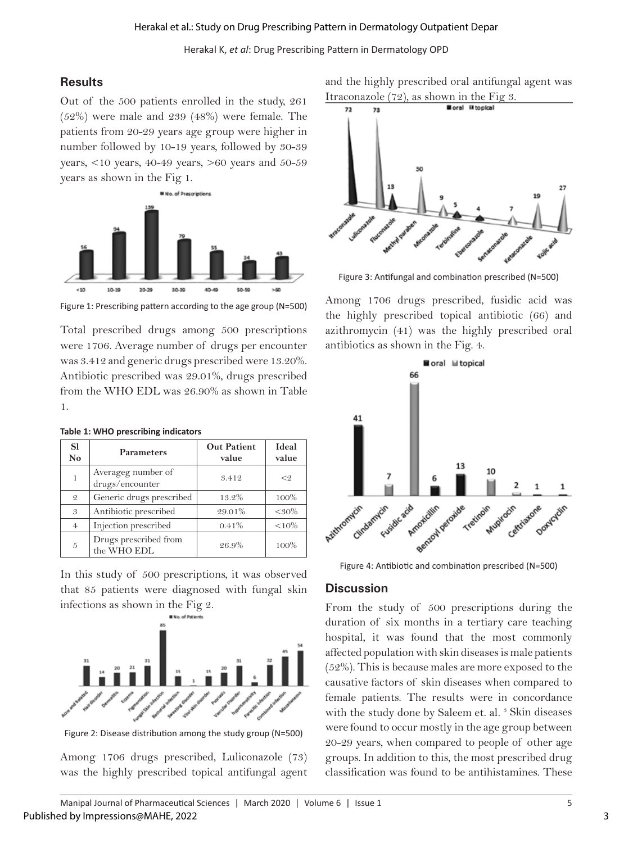Herakal K, *et al*: Drug Prescribing Pattern in Dermatology OPD

## **Results**

Out of the 500 patients enrolled in the study, 261 (52%) were male and 239 (48%) were female. The patients from 20-29 years age group were higher in number followed by 10-19 years, followed by 30-39 years,  $<10$  years,  $40-49$  years,  $>60$  years and  $50-59$ years as shown in the Fig 1.



Figure 1: Prescribing pattern according to the age group (N=500)

Total prescribed drugs among 500 prescriptions were 1706. Average number of drugs per encounter was 3.412 and generic drugs prescribed were 13.20%. Antibiotic prescribed was 29.01%, drugs prescribed from the WHO EDL was 26.90% as shown in Table 1.

| <b>S1</b><br>N <sub>o</sub> | <b>Parameters</b>                     | <b>Out Patient</b><br>value | Ideal<br>value |
|-----------------------------|---------------------------------------|-----------------------------|----------------|
|                             | Averageg number of<br>drugs/encounter | 3.412                       | < 9            |
| $\mathfrak{D}$              | Generic drugs prescribed              | 13.2%                       | 100%           |
| 3                           | Antibiotic prescribed                 | 29.01%                      | $< 30\%$       |
| $\overline{4}$              | Injection prescribed                  | 0.41%                       | $< 10\%$       |
| $\tilde{D}$                 | Drugs prescribed from<br>the WHO EDL  | 26.9%                       | $100\%$        |

#### **Table 1: WHO prescribing indicators**

In this study of 500 prescriptions, it was observed that 85 patients were diagnosed with fungal skin infections as shown in the Fig 2.



Figure 2: Disease distribution among the study group (N=500)

Among 1706 drugs prescribed, Luliconazole (73) was the highly prescribed topical antifungal agent

and the highly prescribed oral antifungal agent was



Figure 3: Antifungal and combination prescribed (N=500)

Among 1706 drugs prescribed, fusidic acid was the highly prescribed topical antibiotic (66) and azithromycin (41) was the highly prescribed oral antibiotics as shown in the Fig. 4.



Figure 4: Antibiotic and combination prescribed (N=500)

#### **Discussion**

From the study of 500 prescriptions during the duration of six months in a tertiary care teaching hospital, it was found that the most commonly affected population with skin diseases is male patients (52%). This is because males are more exposed to the causative factors of skin diseases when compared to female patients. The results were in concordance with the study done by Saleem et. al.<sup>3</sup> Skin diseases were found to occur mostly in the age group between 20-29 years, when compared to people of other age groups. In addition to this, the most prescribed drug classification was found to be antihistamines. These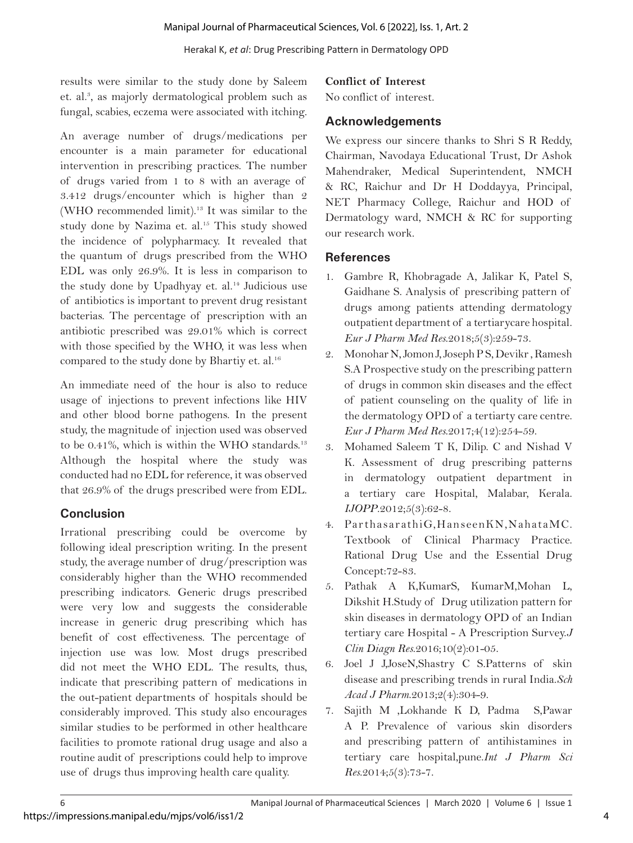results were similar to the study done by Saleem et. al.<sup>3</sup>, as majorly dermatological problem such as fungal, scabies, eczema were associated with itching.

An average number of drugs/medications per encounter is a main parameter for educational intervention in prescribing practices. The number of drugs varied from 1 to 8 with an average of 3.412 drugs/encounter which is higher than 2 (WHO recommended limit).13 It was similar to the study done by Nazima et. al.<sup>15</sup> This study showed the incidence of polypharmacy. It revealed that the quantum of drugs prescribed from the WHO EDL was only 26.9%. It is less in comparison to the study done by Upadhyay et. al.<sup>14</sup> Judicious use of antibiotics is important to prevent drug resistant bacterias. The percentage of prescription with an antibiotic prescribed was 29.01% which is correct with those specified by the WHO, it was less when compared to the study done by Bhartiy et. al.<sup>16</sup>

An immediate need of the hour is also to reduce usage of injections to prevent infections like HIV and other blood borne pathogens. In the present study, the magnitude of injection used was observed to be 0.41%, which is within the WHO standards. $13$ Although the hospital where the study was conducted had no EDL for reference, it was observed that 26.9% of the drugs prescribed were from EDL.

# **Conclusion**

Irrational prescribing could be overcome by following ideal prescription writing. In the present study, the average number of drug/prescription was considerably higher than the WHO recommended prescribing indicators. Generic drugs prescribed were very low and suggests the considerable increase in generic drug prescribing which has benefit of cost effectiveness. The percentage of injection use was low. Most drugs prescribed did not meet the WHO EDL. The results, thus, indicate that prescribing pattern of medications in the out-patient departments of hospitals should be considerably improved. This study also encourages similar studies to be performed in other healthcare facilities to promote rational drug usage and also a routine audit of prescriptions could help to improve use of drugs thus improving health care quality.

## **Conflict of Interest**

No conflict of interest.

# **Acknowledgements**

We express our sincere thanks to Shri S R Reddy, Chairman, Navodaya Educational Trust, Dr Ashok Mahendraker, Medical Superintendent, NMCH & RC, Raichur and Dr H Doddayya, Principal, NET Pharmacy College, Raichur and HOD of Dermatology ward, NMCH & RC for supporting our research work.

# **References**

- 1. Gambre R, Khobragade A, Jalikar K, Patel S, Gaidhane S. Analysis of prescribing pattern of drugs among patients attending dermatology outpatient department of a tertiarycare hospital. *Eur J Pharm Med Res*.2018;5(3):259-73.
- 2. Monohar N, Jomon J, Joseph P S, Devikr , Ramesh S.A Prospective study on the prescribing pattern of drugs in common skin diseases and the effect of patient counseling on the quality of life in the dermatology OPD of a tertiarty care centre. *Eur J Pharm Med Res*.2017;4(12):254-59.
- 3. Mohamed Saleem T K, Dilip. C and Nishad V K. Assessment of drug prescribing patterns in dermatology outpatient department in a tertiary care Hospital, Malabar, Kerala. *IJOPP*.2012;5(3):62-8.
- 4. ParthasarathiG,HanseenKN,NahataMC. Textbook of Clinical Pharmacy Practice. Rational Drug Use and the Essential Drug Concept:72-83.
- 5. Pathak A K,KumarS, KumarM,Mohan L, Dikshit H.Study of Drug utilization pattern for skin diseases in dermatology OPD of an Indian tertiary care Hospital - A Prescription Survey.*J Clin Diagn Res*.2016;10(2):01-05.
- 6. Joel J J,JoseN,Shastry C S.Patterns of skin disease and prescribing trends in rural India.*Sch Acad J Pharm*.2013;2(4):304-9.
- 7. Sajith M ,Lokhande K D, Padma S,Pawar A P. Prevalence of various skin disorders and prescribing pattern of antihistamines in tertiary care hospital,pune.*Int J Pharm Sci Res*.2014;5(3):73-7.